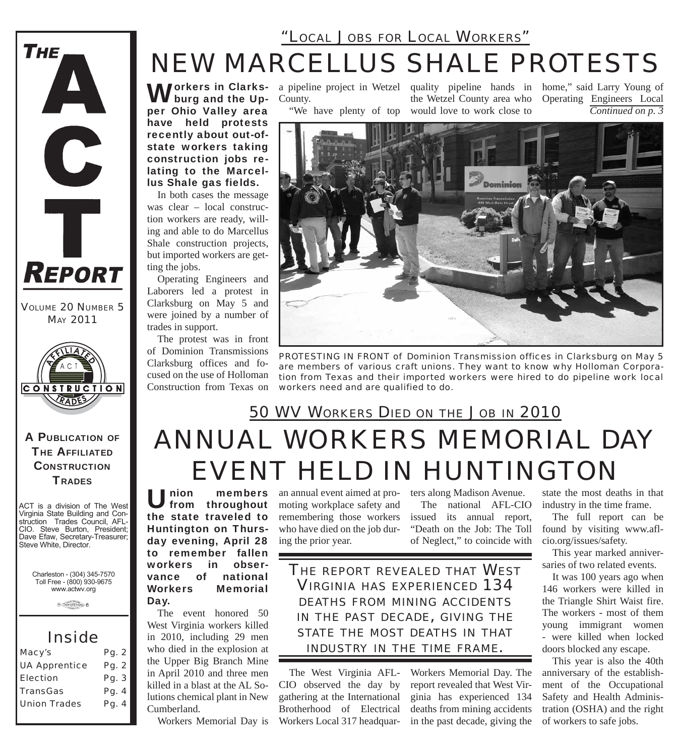### *NEW MARCELLUS SHALE PROTESTS "LOCAL JOBS FOR LOCAL WORKERS"*

**Workers in Clarks-**<br>**W** burg and the Upburg and the Upper Ohio Valley area have held protests recently about out-ofstate workers taking construction jobs relating to the Marcellus Shale gas fields.

In both cases the message was clear – local construction workers are ready, willing and able to do Marcellus Shale construction projects, but imported workers are getting the jobs.

Operating Engineers and Laborers led a protest in Clarksburg on May 5 and were joined by a number of trades in support.

The protest was in front of Dominion Transmissions Clarksburg offices and focused on the use of Holloman Construction from Texas on

County.

"We have plenty of top

a pipeline project in Wetzel quality pipeline hands in home," said Larry Young of the Wetzel County area who would love to work close to

*Continued on p. 3* Operating Engineers Local



*PROTESTING IN FRONT of Dominion Transmission offices in Clarksburg on May 5 are members of various craft unions. They want to know why Holloman Corporation from Texas and their imported workers were hired to do pipeline work local workers need and are qualified to do.*

# *ANNUAL WORKERS MEMORIAL DAY EVENT HELD IN HUNTINGTON 50 WV WORKERS DIED ON THE JOB IN 2010*

Union members from throughout the state traveled to Huntington on Thursday evening, April 28 to remember fallen workers in obser-<br>vance of national vance of Workers Memorial Day.

The event honored 50 West Virginia workers killed in 2010, including 29 men who died in the explosion at the Upper Big Branch Mine in April 2010 and three men killed in a blast at the AL Solutions chemical plant in New Cumberland.

Workers Memorial Day is

an annual event aimed at promoting workplace safety and remembering those workers who have died on the job during the prior year.

ters along Madison Avenue. The national AFL-CIO issued its annual report, "Death on the Job: The Toll of Neglect," to coincide with

Workers Memorial Day. The report revealed that West Virginia has experienced 134 deaths from mining accidents in the past decade, giving the

*THE REPORT REVEALED THAT WEST VIRGINIA HAS EXPERIENCED 134 DEATHS FROM MINING ACCIDENTS IN THE PAST DECADE, GIVING THE STATE THE MOST DEATHS IN THAT INDUSTRY IN THE TIME FRAME.*

The West Virginia AFL-CIO observed the day by gathering at the International Brotherhood of Electrical Workers Local 317 headquar-

industry in the time frame. The full report can be found by visiting www.afl-

state the most deaths in that

cio.org/issues/safety. This year marked anniversaries of two related events.

It was 100 years ago when 146 workers were killed in the Triangle Shirt Waist fire. The workers - most of them young immigrant women - were killed when locked doors blocked any escape.

This year is also the 40th anniversary of the establishment of the Occupational Safety and Health Administration (OSHA) and the right of workers to safe jobs.

Virginia State Building and Construction Trades Council, AFL-CIO. Steve Burton, President; Dave Efaw, Secretary-Treasurer; Steve White, Director.

Charleston - (304) 345-7570 Toll Free - (800) 930-9675 www.actwv.org

ACT is a division of The West

*VOLUME 20 NUMBER 5 MAY 2011*

**REPORT** 

**THE** 

A

C

 $\overline{\mathbf{r}}$ 

A PUBLICATION OF **THE AFFILIATED CONSTRUCTION TRADES** 

**CONSTRUCTION** RADE

 $\theta$  (restrictions)  $6$ 

#### *Inside*

| Macy's               | Pg. 2 |
|----------------------|-------|
| <b>UA Apprentice</b> | Pg. 2 |
| <b>Election</b>      | Pg. 3 |
| <b>TransGas</b>      | Pg. 4 |
| <b>Union Trades</b>  | Pg. 4 |
|                      |       |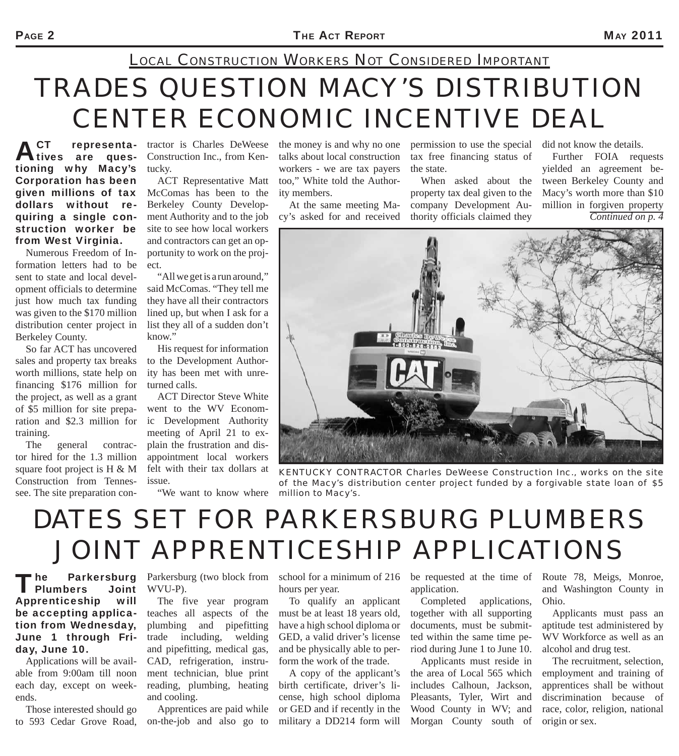## *LOCAL CONSTRUCTION WORKERS NOT CONSIDERED IMPORTANT*

# *TRADES QUESTION MACY'S DISTRIBUTION CENTER ECONOMIC INCENTIVE DEAL*

ACT representationing why Macy's Corporation has been given millions of tax McComas has been to the dollars without requiring a single construction worker be from West Virginia.

Numerous Freedom of Information letters had to be sent to state and local development officials to determine just how much tax funding was given to the \$170 million distribution center project in Berkeley County.

So far ACT has uncovered sales and property tax breaks worth millions, state help on financing \$176 million for the project, as well as a grant of \$5 million for site preparation and \$2.3 million for training.

The general contractor hired for the 1.3 million square foot project is H & M Construction from Tennessee. The site preparation con-

tractor is Charles DeWeese Construction Inc., from Kentucky.

ACT Representative Matt Berkeley County Development Authority and to the job site to see how local workers and contractors can get an opportunity to work on the project.

"All we get is a run around," said McComas. "They tell me they have all their contractors lined up, but when I ask for a list they all of a sudden don't know."

His request for information to the Development Authority has been met with unreturned calls.

ACT Director Steve White went to the WV Economic Development Authority meeting of April 21 to explain the frustration and disappointment local workers felt with their tax dollars at issue.

"We want to know where *million to Macy's.*

the money is and why no one talks about local construction workers - we are tax payers too," White told the Authority members.

At the same meeting Macy's asked for and received permission to use the special tax free financing status of the state.

When asked about the property tax deal given to the company Development Authority officials claimed they

did not know the details.

Further FOIA requests yielded an agreement between Berkeley County and Macy's worth more than \$10 million in forgiven property *Continued on p. 4*



*KENTUCKY CONTRACTOR Charles DeWeese Construction Inc., works on the site of the Macy's distribution center project funded by a forgivable state loan of \$5* 

## *DATES SET FOR PARKERSBURG PLUMBERS JOINT APPRENTICESHIP APPLICATIONS*

The Parkersburg<br>Plumbers Joint Apprenticeship will be accepting application from Wednesday, June 1 through Friday, June 10.

Applications will be available from 9:00am till noon each day, except on weekends.

Those interested should go to 593 Cedar Grove Road,

WVU-P).

The five year program teaches all aspects of the plumbing and pipefitting trade including, welding and pipefitting, medical gas, CAD, refrigeration, instrument technician, blue print reading, plumbing, heating and cooling.

Apprentices are paid while on-the-job and also go to

Parkersburg (two block from school for a minimum of 216 hours per year.

> To qualify an applicant must be at least 18 years old, have a high school diploma or GED, a valid driver's license and be physically able to perform the work of the trade.

A copy of the applicant's birth certificate, driver's license, high school diploma or GED and if recently in the military a DD214 form will

be requested at the time of application.

Completed applications, together with all supporting documents, must be submitted within the same time period during June 1 to June 10.

Applicants must reside in the area of Local 565 which includes Calhoun, Jackson, Pleasants, Tyler, Wirt and Wood County in WV; and Morgan County south of

Route 78, Meigs, Monroe, and Washington County in Ohio.

Applicants must pass an aptitude test administered by WV Workforce as well as an alcohol and drug test.

The recruitment, selection, employment and training of apprentices shall be without discrimination because of race, color, religion, national origin or sex.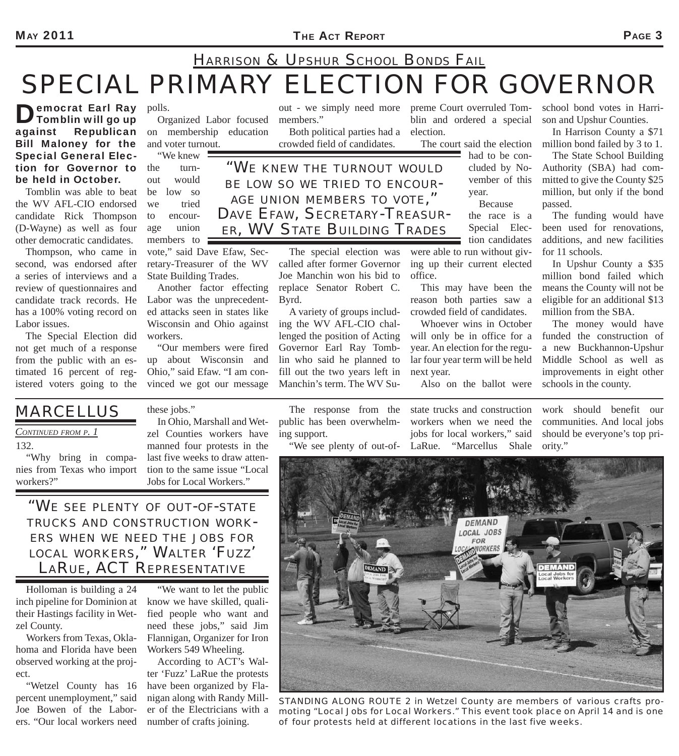## *SPECIAL PRIMARY ELECTION FOR GOVERNOR HARRISON & UPSHUR SCHOOL BONDS FAIL*

Democrat Earl Ray<br>Tomblin will go up against Republican Bill Maloney for the Special General Election for Governor to be held in October.

Tomblin was able to beat the WV AFL-CIO endorsed candidate Rick Thompson (D-Wayne) as well as four other democratic candidates.

Thompson, who came in second, was endorsed after a series of interviews and a review of questionnaires and candidate track records. He has a 100% voting record on Labor issues.

The Special Election did not get much of a response from the public with an estimated 16 percent of registered voters going to the

polls. Organized Labor focused on membership education and voter turnout.

"We knew the turnout would be low so we tried to encourage union members to

vote," said Dave Efaw, Secretary-Treasurer of the WV State Building Trades.

Another factor effecting Labor was the unprecedented attacks seen in states like Wisconsin and Ohio against workers.

"Our members were fired up about Wisconsin and Ohio," said Efaw. "I am convinced we got our message

out - we simply need more members."

Both political parties had a crowded field of candidates.

preme Court overruled Tomblin and ordered a special election.

The court said the election

had to be concluded by November of this year. Because

the race is a

Special Election candidates

were able to run without giving up their current elected office.

This may have been the reason both parties saw a crowded field of candidates.

Whoever wins in October will only be in office for a year. An election for the regular four year term will be held next year.

Also on the ballot were

school bond votes in Harrison and Upshur Counties.

In Harrison County a \$71 million bond failed by 3 to 1.

The State School Building Authority (SBA) had committed to give the County \$25 million, but only if the bond passed.

The funding would have been used for renovations, additions, and new facilities for 11 schools.

In Upshur County a \$35 million bond failed which means the County will not be eligible for an additional \$13 million from the SBA.

The money would have funded the construction of a new Buckhannon-Upshur Middle School as well as improvements in eight other schools in the county.

*MARCELLUS* 

*CONTINUED FROM P. 1*

132.

"Why bring in companies from Texas who import workers?"

these jobs." In Ohio, Marshall and Wetzel Counties workers have

manned four protests in the last five weeks to draw attention to the same issue "Local Jobs for Local Workers."

*"WE SEE PLENTY OF OUT-OF-STATE TRUCKS AND CONSTRUCTION WORK- ERS WHEN WE NEED THE JOBS FOR LOCAL WORKERS," WALTER 'FUZZ' LARUE, ACT REPRESENTATIVE*

Holloman is building a 24 inch pipeline for Dominion at their Hastings facility in Wetzel County.

Workers from Texas, Oklahoma and Florida have been observed working at the project.

"Wetzel County has 16 percent unemployment," said Joe Bowen of the Laborers. "Our local workers need

"We want to let the public know we have skilled, qualified people who want and need these jobs," said Jim Flannigan, Organizer for Iron Workers 549 Wheeling.

According to ACT's Walter 'Fuzz' LaRue the protests have been organized by Flanigan along with Randy Miller of the Electricians with a number of crafts joining.

The response from the public has been overwhelming support.

work should benefit our communities. And local jobs should be everyone's top pri-

*STANDING ALONG ROUTE 2 in Wetzel County are members of various crafts promoting "Local Jobs for Local Workers." This event took place on April 14 and is one of four protests held at different locations in the last five weeks.*

"We see plenty of out-of-LaRue. "Marcellus Shale state trucks and construction workers when we need the jobs for local workers," said ority."

#### *"WE KNEW THE TURNOUT WOULD BE LOW SO WE TRIED TO ENCOUR-AGE UNION MEMBERS TO VOTE," DAVE EFAW, SECRETARY-TREASUR-ER, WV STATE BUILDING TRADES*

The special election was called after former Governor

Joe Manchin won his bid to replace Senator Robert C. Byrd.

A variety of groups including the WV AFL-CIO challenged the position of Acting Governor Earl Ray Tomblin who said he planned to fill out the two years left in Manchin's term. The WV Su-